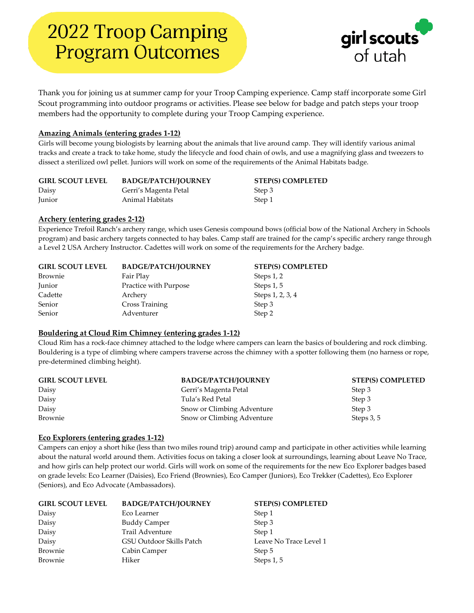

Thank you for joining us at summer camp for your Troop Camping experience. Camp staff incorporate some Girl Scout programming into outdoor programs or activities. Please see below for badge and patch steps your troop members had the opportunity to complete during your Troop Camping experience.

# **Amazing Animals (entering grades 1-12)**

Girls will become young biologists by learning about the animals that live around camp. They will identify various animal tracks and create a track to take home, study the lifecycle and food chain of owls, and use a magnifying glass and tweezers to dissect a sterilized owl pellet. Juniors will work on some of the requirements of the Animal Habitats badge.

| <b>GIRL SCOUT LEVEL</b> | <b>BADGE/PATCH/JOURNEY</b> | <b>STEP(S) COMPLETED</b> |
|-------------------------|----------------------------|--------------------------|
| Daisy                   | Gerri's Magenta Petal      | Step 3                   |
| Junior                  | Animal Habitats            | Step 1                   |

# **Archery (entering grades 2-12)**

Experience Trefoil Ranch's archery range, which uses Genesis compound bows (official bow of the National Archery in Schools program) and basic archery targets connected to hay bales. Camp staff are trained for the camp's specific archery range through a Level 2 USA Archery Instructor. Cadettes will work on some of the requirements for the Archery badge.

| <b>GIRL SCOUT LEVEL</b> | <b>BADGE/PATCH/JOURNEY</b> | <b>STEP(S) COMPLETED</b> |
|-------------------------|----------------------------|--------------------------|
| Brownie                 | Fair Play                  | Steps 1, 2               |
| Junior                  | Practice with Purpose      | Steps 1, 5               |
| Cadette                 | Archery                    | Steps 1, 2, 3, 4         |
| Senior                  | Cross Training             | Step 3                   |
| Senior                  | Adventurer                 | Step 2                   |

# **Bouldering at Cloud Rim Chimney (entering grades 1-12)**

Cloud Rim has a rock-face chimney attached to the lodge where campers can learn the basics of bouldering and rock climbing. Bouldering is a type of climbing where campers traverse across the chimney with a spotter following them (no harness or rope, pre-determined climbing height).

| <b>GIRL SCOUT LEVEL</b> | <b>BADGE/PATCH/JOURNEY</b> | <b>STEP(S) COMPLETED</b> |
|-------------------------|----------------------------|--------------------------|
| Daisy                   | Gerri's Magenta Petal      | Step 3                   |
| Daisy                   | Tula's Red Petal           | Step 3                   |
| Daisy                   | Snow or Climbing Adventure | Step 3                   |
| Brownie                 | Snow or Climbing Adventure | Steps 3, 5               |

#### **Eco Explorers (entering grades 1-12)**

Campers can enjoy a short hike (less than two miles round trip) around camp and participate in other activities while learning about the natural world around them. Activities focus on taking a closer look at surroundings, learning about Leave No Trace, and how girls can help protect our world. Girls will work on some of the requirements for the new Eco Explorer badges based on grade levels: Eco Learner (Daisies), Eco Friend (Brownies), Eco Camper (Juniors), Eco Trekker (Cadettes), Eco Explorer (Seniors), and Eco Advocate (Ambassadors).

| <b>GIRL SCOUT LEVEL</b> | <b>BADGE/PATCH/JOURNEY</b> | <b>STEP(S) COMPLETED</b> |
|-------------------------|----------------------------|--------------------------|
| Daisy                   | Eco Learner                | Step 1                   |
| Daisy                   | <b>Buddy Camper</b>        | Step 3                   |
| Daisy                   | Trail Adventure            | Step 1                   |
| Daisy                   | GSU Outdoor Skills Patch   | Leave No Trace Level 1   |
| Brownie                 | Cabin Camper               | Step 5                   |
| Brownie                 | Hiker                      | Steps 1, 5               |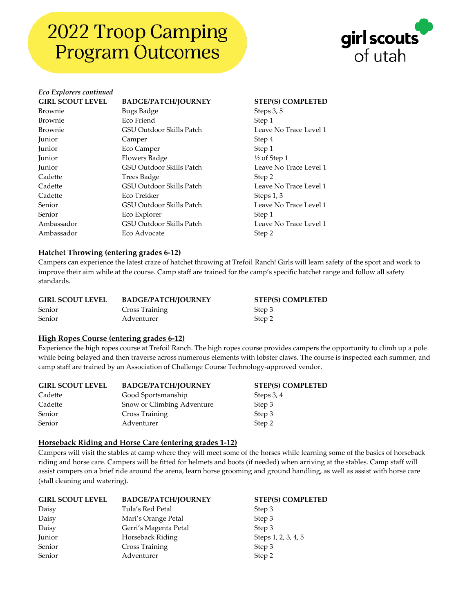

# *Eco Explorers continued* **GIRL SCOUT LEVEL BADGE/PATCH/JOURNEY STEP(S) COMPLETED** Brownie Bugs Badge Steps 3, 5 Brownie Eco Friend Step 1 Brownie GSU Outdoor Skills Patch Leave No Trace Level 1 Junior Camper Step 4 Junior Eco Camper Step 1 Junior Flowers Badge  $\frac{1}{2}$  of Step 1 Junior GSU Outdoor Skills Patch Leave No Trace Level 1 Cadette Trees Badge Step 2 Cadette GSU Outdoor Skills Patch Leave No Trace Level 1 Cadette Eco Trekker Steps 1, 3 Senior GSU Outdoor Skills Patch Leave No Trace Level 1 Senior **EXPLOREGALL EXPLORER EXPLORER EXPLORER EXPLORER Step 1** Ambassador GSU Outdoor Skills Patch Leave No Trace Level 1 Ambassador **Eco Advocate** Step 2

#### **Hatchet Throwing (entering grades 6-12)**

Campers can experience the latest craze of hatchet throwing at Trefoil Ranch! Girls will learn safety of the sport and work to improve their aim while at the course. Camp staff are trained for the camp's specific hatchet range and follow all safety standards.

| <b>GIRL SCOUT LEVEL</b> | <b>BADGE/PATCH/JOURNEY</b> | <b>STEP(S) COMPLETED</b> |
|-------------------------|----------------------------|--------------------------|
| Senior                  | Cross Training             | Step 3                   |
| Senior                  | Adventurer                 | Step 2                   |

#### **High Ropes Course (entering grades 6-12)**

Experience the high ropes course at Trefoil Ranch. The high ropes course provides campers the opportunity to climb up a pole while being belayed and then traverse across numerous elements with lobster claws. The course is inspected each summer, and camp staff are trained by an Association of Challenge Course Technology-approved vendor.

| <b>GIRL SCOUT LEVEL</b> | <b>BADGE/PATCH/JOURNEY</b> | <b>STEP(S) COMPLETED</b> |
|-------------------------|----------------------------|--------------------------|
| Cadette                 | Good Sportsmanship         | Steps 3, 4               |
| Cadette                 | Snow or Climbing Adventure | Step 3                   |
| Senior                  | Cross Training             | Step 3                   |
| Senior                  | Adventurer                 | Step 2                   |

#### **Horseback Riding and Horse Care (entering grades 1-12)**

Campers will visit the stables at camp where they will meet some of the horses while learning some of the basics of horseback riding and horse care. Campers will be fitted for helmets and boots (if needed) when arriving at the stables. Camp staff will assist campers on a brief ride around the arena, learn horse grooming and ground handling, as well as assist with horse care (stall cleaning and watering).

| <b>GIRL SCOUT LEVEL</b> | <b>BADGE/PATCH/JOURNEY</b> | <b>STEP(S) COMPLETED</b> |
|-------------------------|----------------------------|--------------------------|
| Daisy                   | Tula's Red Petal           | Step 3                   |
| Daisy                   | Mari's Orange Petal        | Step 3                   |
| Daisy                   | Gerri's Magenta Petal      | Step 3                   |
| Junior                  | Horseback Riding           | Steps 1, 2, 3, 4, 5      |
| Senior                  | Cross Training             | Step 3                   |
| Senior                  | Adventurer                 | Step 2                   |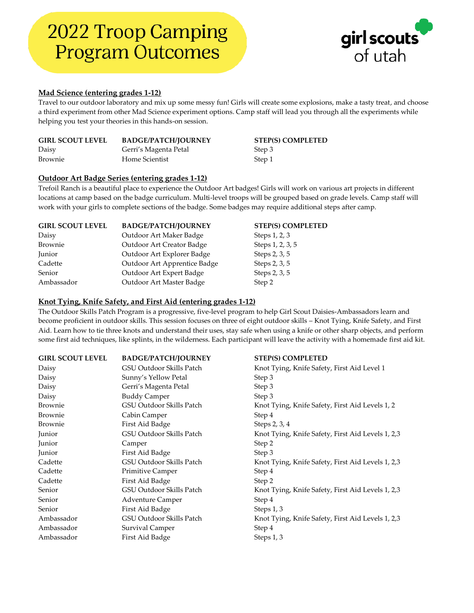

### **Mad Science (entering grades 1-12)**

Travel to our outdoor laboratory and mix up some messy fun! Girls will create some explosions, make a tasty treat, and choose a third experiment from other Mad Science experiment options. Camp staff will lead you through all the experiments while helping you test your theories in this hands-on session.

| <b>GIRL SCOUT LEVEL</b> | <b>BADGE/PATCH/JOURNEY</b> | <b>STEP(S) COMPLETED</b> |
|-------------------------|----------------------------|--------------------------|
| Daisy                   | Gerri's Magenta Petal      | Step 3                   |
| Brownie                 | Home Scientist             | Step 1                   |

# **Outdoor Art Badge Series (entering grades 1-12)**

Trefoil Ranch is a beautiful place to experience the Outdoor Art badges! Girls will work on various art projects in different locations at camp based on the badge curriculum. Multi-level troops will be grouped based on grade levels. Camp staff will work with your girls to complete sections of the badge. Some badges may require additional steps after camp.

| <b>BADGE/PATCH/JOURNEY</b>   | <b>STEP(S) COMPLETED</b> |
|------------------------------|--------------------------|
| Outdoor Art Maker Badge      | Steps 1, 2, 3            |
| Outdoor Art Creator Badge    | Steps 1, 2, 3, 5         |
| Outdoor Art Explorer Badge   | Steps 2, 3, 5            |
| Outdoor Art Apprentice Badge | Steps 2, 3, 5            |
| Outdoor Art Expert Badge     | Steps 2, 3, 5            |
| Outdoor Art Master Badge     | Step 2                   |
|                              |                          |

# **Knot Tying, Knife Safety, and First Aid (entering grades 1-12)**

The Outdoor Skills Patch Program is a progressive, five-level program to help Girl Scout Daisies-Ambassadors learn and become proficient in outdoor skills. This session focuses on three of eight outdoor skills – Knot Tying, Knife Safety, and First Aid. Learn how to tie three knots and understand their uses, stay safe when using a knife or other sharp objects, and perform some first aid techniques, like splints, in the wilderness. Each participant will leave the activity with a homemade first aid kit.

| <b>GIRL SCOUT LEVEL</b> | <b>BADGE/PATCH/JOURNEY</b> | <b>STEP(S) COMPLETED</b>                          |
|-------------------------|----------------------------|---------------------------------------------------|
| Daisy                   | GSU Outdoor Skills Patch   | Knot Tying, Knife Safety, First Aid Level 1       |
| Daisy                   | Sunny's Yellow Petal       | Step 3                                            |
| Daisy                   | Gerri's Magenta Petal      | Step 3                                            |
| Daisy                   | <b>Buddy Camper</b>        | Step 3                                            |
| Brownie                 | GSU Outdoor Skills Patch   | Knot Tying, Knife Safety, First Aid Levels 1, 2   |
| Brownie                 | Cabin Camper               | Step 4                                            |
| Brownie                 | First Aid Badge            | Steps 2, 3, 4                                     |
| Junior                  | GSU Outdoor Skills Patch   | Knot Tying, Knife Safety, First Aid Levels 1, 2,3 |
| Junior                  | Camper                     | Step 2                                            |
| Junior                  | First Aid Badge            | Step 3                                            |
| Cadette                 | GSU Outdoor Skills Patch   | Knot Tying, Knife Safety, First Aid Levels 1, 2,3 |
| Cadette                 | Primitive Camper           | Step 4                                            |
| Cadette                 | First Aid Badge            | Step 2                                            |
| Senior                  | GSU Outdoor Skills Patch   | Knot Tying, Knife Safety, First Aid Levels 1, 2,3 |
| Senior                  | <b>Adventure Camper</b>    | Step 4                                            |
| Senior                  | First Aid Badge            | Steps 1, 3                                        |
| Ambassador              | GSU Outdoor Skills Patch   | Knot Tying, Knife Safety, First Aid Levels 1, 2,3 |
| Ambassador              | Survival Camper            | Step 4                                            |
| Ambassador              | First Aid Badge            | Steps 1, 3                                        |
|                         |                            |                                                   |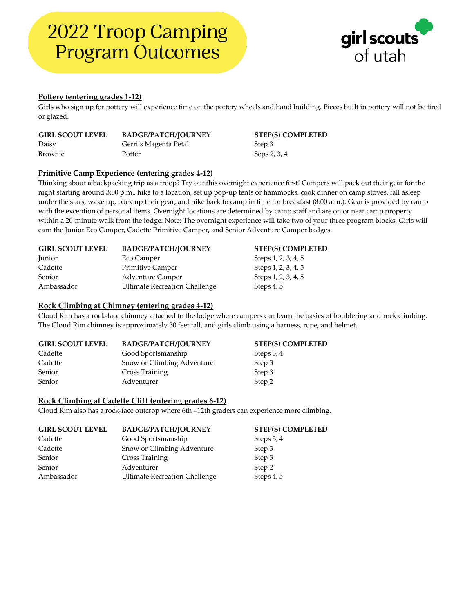

# **Pottery (entering grades 1-12)**

Girls who sign up for pottery will experience time on the pottery wheels and hand building. Pieces built in pottery will not be fired or glazed.

| <b>GIRL SCOUT LEVEL</b> | <b>BADGE/PATCH/JOURNEY</b> | <b>STEP(S) COMPLETED</b> |
|-------------------------|----------------------------|--------------------------|
| Daisy                   | Gerri's Magenta Petal      | Step 3                   |
| Brownie                 | Potter                     | Seps 2, 3, 4             |

#### **Primitive Camp Experience (entering grades 4-12)**

Thinking about a backpacking trip as a troop? Try out this overnight experience first! Campers will pack out their gear for the night starting around 3:00 p.m., hike to a location, set up pop-up tents or hammocks, cook dinner on camp stoves, fall asleep under the stars, wake up, pack up their gear, and hike back to camp in time for breakfast (8:00 a.m.). Gear is provided by camp with the exception of personal items. Overnight locations are determined by camp staff and are on or near camp property within a 20-minute walk from the lodge. Note: The overnight experience will take two of your three program blocks. Girls will earn the Junior Eco Camper, Cadette Primitive Camper, and Senior Adventure Camper badges.

| <b>GIRL SCOUT LEVEL</b> | <b>BADGE/PATCH/JOURNEY</b>           | <b>STEP(S) COMPLETED</b> |
|-------------------------|--------------------------------------|--------------------------|
| Junior                  | Eco Camper                           | Steps 1, 2, 3, 4, 5      |
| Cadette                 | <b>Primitive Camper</b>              | Steps 1, 2, 3, 4, 5      |
| Senior                  | <b>Adventure Camper</b>              | Steps 1, 2, 3, 4, 5      |
| Ambassador              | <b>Ultimate Recreation Challenge</b> | Steps 4, 5               |

#### **Rock Climbing at Chimney (entering grades 4-12)**

Cloud Rim has a rock-face chimney attached to the lodge where campers can learn the basics of bouldering and rock climbing. The Cloud Rim chimney is approximately 30 feet tall, and girls climb using a harness, rope, and helmet.

| <b>GIRL SCOUT LEVEL</b> | <b>BADGE/PATCH/JOURNEY</b> | <b>STEP(S) COMPLETED</b> |
|-------------------------|----------------------------|--------------------------|
| Cadette                 | Good Sportsmanship         | Steps 3, 4               |
| Cadette                 | Snow or Climbing Adventure | Step 3                   |
| Senior                  | Cross Training             | Step 3                   |
| Senior                  | Adventurer                 | Step 2                   |

#### **Rock Climbing at Cadette Cliff (entering grades 6-12)**

Cloud Rim also has a rock-face outcrop where 6th –12th graders can experience more climbing.

| <b>GIRL SCOUT LEVEL</b> | <b>BADGE/PATCH/JOURNEY</b>           | <b>STEP(S) COMPLETED</b> |
|-------------------------|--------------------------------------|--------------------------|
| Cadette                 | Good Sportsmanship                   | Steps 3, 4               |
| Cadette                 | Snow or Climbing Adventure           | Step 3                   |
| Senior                  | Cross Training                       | Step 3                   |
| Senior                  | Adventurer                           | Step 2                   |
| Ambassador              | <b>Ultimate Recreation Challenge</b> | Steps 4, 5               |